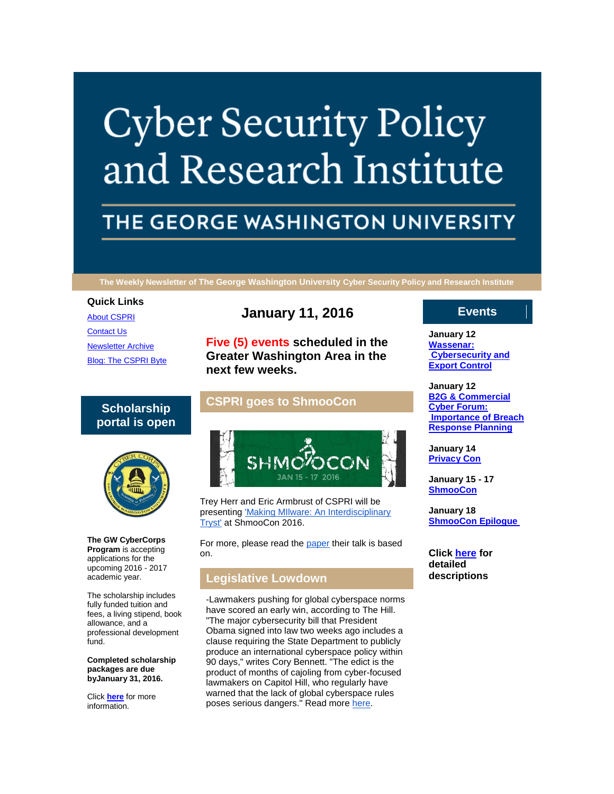# **Cyber Security Policy** and Research Institute

# THE GEORGE WASHINGTON UNIVERSITY

**The Weekly Newsletter of The George Washington University Cyber Security Policy and Research Institute**

#### **Quick Links**

[About CSPRI](http://r20.rs6.net/tn.jsp?f=001aHqkZ4kwICbHsNoK0ayE8lgWhHvrSZZ-HA_AOKZIsAuv0ihL0elzaPWkAqduiwvwE5iSrP67f24YHkHjxZK8P-zi-ekUqMzuuPfRz-D-TkLM7IgmdH80-daRqiyL4pcnHcfGbo0cuiaN2SOu_1_K4R6OJ8CTUi4ccaprs1C9XwHE4QtuVOxNdlP2j3xHIr-6&c=4_AzNUBTvgCLTMbUOfl6E28L68RJH8nj1Jfwib7zQS0zxlHOj1_MTQ==&ch=Sdx-iivoUUKImsIFau1VmMnfh1_P3mMHuvWvFjH0e6Uz41XmCYIb9w==) [Contact Us](http://r20.rs6.net/tn.jsp?f=001aHqkZ4kwICbHsNoK0ayE8lgWhHvrSZZ-HA_AOKZIsAuv0ihL0elzaPWkAqduiwvw5r4aa-AaSe53G2dPlIGixioMJ69vftasBbTplU38-A609X0wJvb_88wY94_hZlQ_7mppZ5a4VbqRIznbYjxNJj3Ia4-ZdTipQYXRSA0fIcVoe1srZVzV3IHbVvVzg0_-N2HRJmRS-Kg=&c=4_AzNUBTvgCLTMbUOfl6E28L68RJH8nj1Jfwib7zQS0zxlHOj1_MTQ==&ch=Sdx-iivoUUKImsIFau1VmMnfh1_P3mMHuvWvFjH0e6Uz41XmCYIb9w==) [Newsletter Archive](http://r20.rs6.net/tn.jsp?f=001aHqkZ4kwICbHsNoK0ayE8lgWhHvrSZZ-HA_AOKZIsAuv0ihL0elzaPWkAqduiwvw67RrEx6TnHTjKqXbnAPDnpI7OAO6B475JdJDQdEo6jV8T-P4vbN1uytb6KgFQScy1rhttHlcI6c4AYVF6ipsYmILuTo-Lf0Z25DM3WkTvAyx-h0D49V9zguYeUbDunk99ncoXh1EYa0=&c=4_AzNUBTvgCLTMbUOfl6E28L68RJH8nj1Jfwib7zQS0zxlHOj1_MTQ==&ch=Sdx-iivoUUKImsIFau1VmMnfh1_P3mMHuvWvFjH0e6Uz41XmCYIb9w==) [Blog: The CSPRI Byte](http://r20.rs6.net/tn.jsp?f=001aHqkZ4kwICbHsNoK0ayE8lgWhHvrSZZ-HA_AOKZIsAuv0ihL0elzaPWkAqduiwvwnYi66SkF3Jz1JRBazU83cVcexyDoIFLr04AW7iaY5e8eMrZRNfSQyL1EuxUW1A8wSaWoFtyj3BvzIMKnVlyGAxtojYj3g63jWvi8TRZT5nMt0hPQPtGW-4BUJ2wnHwqf&c=4_AzNUBTvgCLTMbUOfl6E28L68RJH8nj1Jfwib7zQS0zxlHOj1_MTQ==&ch=Sdx-iivoUUKImsIFau1VmMnfh1_P3mMHuvWvFjH0e6Uz41XmCYIb9w==)

# **January 11, 2016**

**Five (5) events scheduled in the Greater Washington Area in the next few weeks.**

# **Scholarship portal is open**



**The GW CyberCorps Program** is accepting applications for the upcoming 2016 - 2017 academic year.

The scholarship includes fully funded tuition and fees, a living stipend, book allowance, and a professional development fund.

**Completed scholarship packages are due byJanuary 31, 2016.**

Click **[here](http://r20.rs6.net/tn.jsp?f=001aHqkZ4kwICbHsNoK0ayE8lgWhHvrSZZ-HA_AOKZIsAuv0ihL0elzaJxUd9zVxb2mhu_ceigozcxU8KPUXcir8xadC06gTZqvHuX4llzEU-nVHB3JhrbEVjgvsXpB3GW1axXotCyI-n0E6FCJo7_dOcyLAgGdcnFxdkMyfNvocqR6yiW-XuJ0J5TMOa2pjMWG&c=4_AzNUBTvgCLTMbUOfl6E28L68RJH8nj1Jfwib7zQS0zxlHOj1_MTQ==&ch=Sdx-iivoUUKImsIFau1VmMnfh1_P3mMHuvWvFjH0e6Uz41XmCYIb9w==)** for more information.

# **CSPRI goes to ShmooCon**



Trey Herr and Eric Armbrust of CSPRI will be presenting ['Making MIlware: An Interdisciplinary](http://r20.rs6.net/tn.jsp?f=001aHqkZ4kwICbHsNoK0ayE8lgWhHvrSZZ-HA_AOKZIsAuv0ihL0elzaP1z0mveC5Ocd8JLj6kZAaMcC63tbtpdNAgmqLM8KJplRN0Dn2mzOYZoPvCELJL2Z6BNDNRnc-YYzn8D1W7QUM_hJkQpa62Yv5XpgzrCgtEaPOxyHUDTrE_U8zbgXeNaxGtpPLkVvzDw&c=4_AzNUBTvgCLTMbUOfl6E28L68RJH8nj1Jfwib7zQS0zxlHOj1_MTQ==&ch=Sdx-iivoUUKImsIFau1VmMnfh1_P3mMHuvWvFjH0e6Uz41XmCYIb9w==)  [Tryst'](http://r20.rs6.net/tn.jsp?f=001aHqkZ4kwICbHsNoK0ayE8lgWhHvrSZZ-HA_AOKZIsAuv0ihL0elzaP1z0mveC5Ocd8JLj6kZAaMcC63tbtpdNAgmqLM8KJplRN0Dn2mzOYZoPvCELJL2Z6BNDNRnc-YYzn8D1W7QUM_hJkQpa62Yv5XpgzrCgtEaPOxyHUDTrE_U8zbgXeNaxGtpPLkVvzDw&c=4_AzNUBTvgCLTMbUOfl6E28L68RJH8nj1Jfwib7zQS0zxlHOj1_MTQ==&ch=Sdx-iivoUUKImsIFau1VmMnfh1_P3mMHuvWvFjH0e6Uz41XmCYIb9w==) at ShmooCon 2016.

For more, please read the [paper](http://r20.rs6.net/tn.jsp?f=001aHqkZ4kwICbHsNoK0ayE8lgWhHvrSZZ-HA_AOKZIsAuv0ihL0elzaP1z0mveC5Oc1ef7WiUSF40Cos316_hfuICf-t_eko_viPT2xbpUW_Ja-_Wm9Qe2tKDH8HV2wp_h-oF9bqjFOK8fX_OEYUvD7dI2GabgRTHoZAJBTTzyaI2EWUJ3uQBkfoVBmRxdX9RM&c=4_AzNUBTvgCLTMbUOfl6E28L68RJH8nj1Jfwib7zQS0zxlHOj1_MTQ==&ch=Sdx-iivoUUKImsIFau1VmMnfh1_P3mMHuvWvFjH0e6Uz41XmCYIb9w==) their talk is based on.

# **Legislative Lowdown**

-Lawmakers pushing for global cyberspace norms have scored an early win, according to The Hill. "The major cybersecurity bill that President Obama signed into law two weeks ago includes a clause requiring the State Department to publicly produce an international cyberspace policy within 90 days," writes Cory Bennett. "The edict is the product of months of cajoling from cyber-focused lawmakers on Capitol Hill, who regularly have warned that the lack of global cyberspace rules poses serious dangers." Read more [here.](http://r20.rs6.net/tn.jsp?f=001aHqkZ4kwICbHsNoK0ayE8lgWhHvrSZZ-HA_AOKZIsAuv0ihL0elzaP1z0mveC5OcxoAwp98cnJfXcrildsCEo604PVbj9vA7PMp5dSpqlTn4_Nm9jQzHfvL0hFb2FY0bSKFMuPtm0I8qz5MxCGPpv1YyvxwQiHZskanYwpMiMDufw-zRbIEZAPk1eB-J2Sn6nKH5B9nTYcFQhwwXLeVKJs9Xzf3KBwHZKQuJrRXrwU9ebJiR-aGcWFC6c4glD0IQLjRRu3oJky5KnrScHe0Xog==&c=4_AzNUBTvgCLTMbUOfl6E28L68RJH8nj1Jfwib7zQS0zxlHOj1_MTQ==&ch=Sdx-iivoUUKImsIFau1VmMnfh1_P3mMHuvWvFjH0e6Uz41XmCYIb9w==)

### **Events**

**January 12 [Wassenar:](http://r20.rs6.net/tn.jsp?f=001aHqkZ4kwICbHsNoK0ayE8lgWhHvrSZZ-HA_AOKZIsAuv0ihL0elzaDaWuDBfOfEzjM7JFnYnq1KRFNdkZI6FCuLT93lppKAk3HtXrsVa60M6y8_99rpYvJjuIxnDBoA5-2Wq2VzlLL8g4CM2ctO21ySa0p-PalKpDmUI975rKtAYZDvcP4sBnvLOb-gDi7AmKjAmL0x-id4=&c=4_AzNUBTvgCLTMbUOfl6E28L68RJH8nj1Jfwib7zQS0zxlHOj1_MTQ==&ch=Sdx-iivoUUKImsIFau1VmMnfh1_P3mMHuvWvFjH0e6Uz41XmCYIb9w==)  [Cybersecurity and](http://r20.rs6.net/tn.jsp?f=001aHqkZ4kwICbHsNoK0ayE8lgWhHvrSZZ-HA_AOKZIsAuv0ihL0elzaDaWuDBfOfEzjM7JFnYnq1KRFNdkZI6FCuLT93lppKAk3HtXrsVa60M6y8_99rpYvJjuIxnDBoA5-2Wq2VzlLL8g4CM2ctO21ySa0p-PalKpDmUI975rKtAYZDvcP4sBnvLOb-gDi7AmKjAmL0x-id4=&c=4_AzNUBTvgCLTMbUOfl6E28L68RJH8nj1Jfwib7zQS0zxlHOj1_MTQ==&ch=Sdx-iivoUUKImsIFau1VmMnfh1_P3mMHuvWvFjH0e6Uz41XmCYIb9w==)  [Export Control](http://r20.rs6.net/tn.jsp?f=001aHqkZ4kwICbHsNoK0ayE8lgWhHvrSZZ-HA_AOKZIsAuv0ihL0elzaDaWuDBfOfEzjM7JFnYnq1KRFNdkZI6FCuLT93lppKAk3HtXrsVa60M6y8_99rpYvJjuIxnDBoA5-2Wq2VzlLL8g4CM2ctO21ySa0p-PalKpDmUI975rKtAYZDvcP4sBnvLOb-gDi7AmKjAmL0x-id4=&c=4_AzNUBTvgCLTMbUOfl6E28L68RJH8nj1Jfwib7zQS0zxlHOj1_MTQ==&ch=Sdx-iivoUUKImsIFau1VmMnfh1_P3mMHuvWvFjH0e6Uz41XmCYIb9w==)**

**January 12 [B2G & Commercial](http://r20.rs6.net/tn.jsp?f=001aHqkZ4kwICbHsNoK0ayE8lgWhHvrSZZ-HA_AOKZIsAuv0ihL0elzaDaWuDBfOfEzjM7JFnYnq1KRFNdkZI6FCuLT93lppKAk3HtXrsVa60M6y8_99rpYvJjuIxnDBoA5-2Wq2VzlLL8g4CM2ctO21ySa0p-PalKpDmUI975rKtAYZDvcP4sBnvLOb-gDi7AmKjAmL0x-id4=&c=4_AzNUBTvgCLTMbUOfl6E28L68RJH8nj1Jfwib7zQS0zxlHOj1_MTQ==&ch=Sdx-iivoUUKImsIFau1VmMnfh1_P3mMHuvWvFjH0e6Uz41XmCYIb9w==)  [Cyber Forum:](http://r20.rs6.net/tn.jsp?f=001aHqkZ4kwICbHsNoK0ayE8lgWhHvrSZZ-HA_AOKZIsAuv0ihL0elzaDaWuDBfOfEzjM7JFnYnq1KRFNdkZI6FCuLT93lppKAk3HtXrsVa60M6y8_99rpYvJjuIxnDBoA5-2Wq2VzlLL8g4CM2ctO21ySa0p-PalKpDmUI975rKtAYZDvcP4sBnvLOb-gDi7AmKjAmL0x-id4=&c=4_AzNUBTvgCLTMbUOfl6E28L68RJH8nj1Jfwib7zQS0zxlHOj1_MTQ==&ch=Sdx-iivoUUKImsIFau1VmMnfh1_P3mMHuvWvFjH0e6Uz41XmCYIb9w==)  [Importance of Breach](http://r20.rs6.net/tn.jsp?f=001aHqkZ4kwICbHsNoK0ayE8lgWhHvrSZZ-HA_AOKZIsAuv0ihL0elzaDaWuDBfOfEzjM7JFnYnq1KRFNdkZI6FCuLT93lppKAk3HtXrsVa60M6y8_99rpYvJjuIxnDBoA5-2Wq2VzlLL8g4CM2ctO21ySa0p-PalKpDmUI975rKtAYZDvcP4sBnvLOb-gDi7AmKjAmL0x-id4=&c=4_AzNUBTvgCLTMbUOfl6E28L68RJH8nj1Jfwib7zQS0zxlHOj1_MTQ==&ch=Sdx-iivoUUKImsIFau1VmMnfh1_P3mMHuvWvFjH0e6Uz41XmCYIb9w==)  [Response Planning](http://r20.rs6.net/tn.jsp?f=001aHqkZ4kwICbHsNoK0ayE8lgWhHvrSZZ-HA_AOKZIsAuv0ihL0elzaDaWuDBfOfEzjM7JFnYnq1KRFNdkZI6FCuLT93lppKAk3HtXrsVa60M6y8_99rpYvJjuIxnDBoA5-2Wq2VzlLL8g4CM2ctO21ySa0p-PalKpDmUI975rKtAYZDvcP4sBnvLOb-gDi7AmKjAmL0x-id4=&c=4_AzNUBTvgCLTMbUOfl6E28L68RJH8nj1Jfwib7zQS0zxlHOj1_MTQ==&ch=Sdx-iivoUUKImsIFau1VmMnfh1_P3mMHuvWvFjH0e6Uz41XmCYIb9w==)**

**January 14 [Privacy Con](http://r20.rs6.net/tn.jsp?f=001aHqkZ4kwICbHsNoK0ayE8lgWhHvrSZZ-HA_AOKZIsAuv0ihL0elzaDaWuDBfOfEzjM7JFnYnq1KRFNdkZI6FCuLT93lppKAk3HtXrsVa60M6y8_99rpYvJjuIxnDBoA5-2Wq2VzlLL8g4CM2ctO21ySa0p-PalKpDmUI975rKtAYZDvcP4sBnvLOb-gDi7AmKjAmL0x-id4=&c=4_AzNUBTvgCLTMbUOfl6E28L68RJH8nj1Jfwib7zQS0zxlHOj1_MTQ==&ch=Sdx-iivoUUKImsIFau1VmMnfh1_P3mMHuvWvFjH0e6Uz41XmCYIb9w==)**

**January 15 - 17 [ShmooCon](http://r20.rs6.net/tn.jsp?f=001aHqkZ4kwICbHsNoK0ayE8lgWhHvrSZZ-HA_AOKZIsAuv0ihL0elzaDaWuDBfOfEzjM7JFnYnq1KRFNdkZI6FCuLT93lppKAk3HtXrsVa60M6y8_99rpYvJjuIxnDBoA5-2Wq2VzlLL8g4CM2ctO21ySa0p-PalKpDmUI975rKtAYZDvcP4sBnvLOb-gDi7AmKjAmL0x-id4=&c=4_AzNUBTvgCLTMbUOfl6E28L68RJH8nj1Jfwib7zQS0zxlHOj1_MTQ==&ch=Sdx-iivoUUKImsIFau1VmMnfh1_P3mMHuvWvFjH0e6Uz41XmCYIb9w==)**

**January 18 [ShmooCon Epilogue](http://r20.rs6.net/tn.jsp?f=001aHqkZ4kwICbHsNoK0ayE8lgWhHvrSZZ-HA_AOKZIsAuv0ihL0elzaDaWuDBfOfEzjM7JFnYnq1KRFNdkZI6FCuLT93lppKAk3HtXrsVa60M6y8_99rpYvJjuIxnDBoA5-2Wq2VzlLL8g4CM2ctO21ySa0p-PalKpDmUI975rKtAYZDvcP4sBnvLOb-gDi7AmKjAmL0x-id4=&c=4_AzNUBTvgCLTMbUOfl6E28L68RJH8nj1Jfwib7zQS0zxlHOj1_MTQ==&ch=Sdx-iivoUUKImsIFau1VmMnfh1_P3mMHuvWvFjH0e6Uz41XmCYIb9w==)**

**Click [here](http://r20.rs6.net/tn.jsp?f=001aHqkZ4kwICbHsNoK0ayE8lgWhHvrSZZ-HA_AOKZIsAuv0ihL0elzaPWkAqduiwvwOSXSCfLgXL3_hkSE36kYLE_CpALjvW813OSKH7yFDGCr0FA3c-VLTtOkC965uOR3zjKKecZBLPcxJfWsrTrBSgKMb6D8GG1xj4GY8XlsMLRvj5zOca7jPcFag1wMD7cLoMFXyhlI_JLKgaNfVYiTZQ==&c=4_AzNUBTvgCLTMbUOfl6E28L68RJH8nj1Jfwib7zQS0zxlHOj1_MTQ==&ch=Sdx-iivoUUKImsIFau1VmMnfh1_P3mMHuvWvFjH0e6Uz41XmCYIb9w==) for detailed descriptions**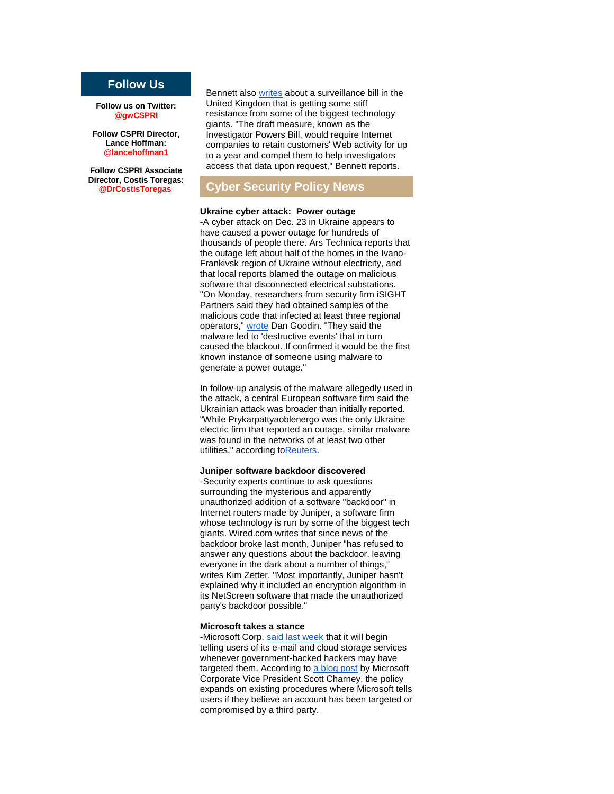# **Follow Us**

**Follow us on Twitter: @gwCSPRI**

**Follow CSPRI Director, Lance Hoffman: @lancehoffman1**

**Follow CSPRI Associate Director, Costis Toregas: @DrCostisToregas**

Bennett also [writes](http://r20.rs6.net/tn.jsp?f=001aHqkZ4kwICbHsNoK0ayE8lgWhHvrSZZ-HA_AOKZIsAuv0ihL0elzaP1z0mveC5Ocgfe0Tng0eI6GEGmDUDY-k0hYz71hUjhy_z1iyHQdfD5F11IIkRA8vfB6Tbgr9UYN8ukqQFIwRvOQtMybDXN8839tEa8pfLYBZUlC48bk3GM3kJd6qgrNgLJ4wCVz3Qk7tHgRkv4dfBBCyHwyQUZIGpqIDjVw6DJlYamiKxFLmFY8C93ElFWAFQgVd5SBVB7b27qGBKC_9go=&c=4_AzNUBTvgCLTMbUOfl6E28L68RJH8nj1Jfwib7zQS0zxlHOj1_MTQ==&ch=Sdx-iivoUUKImsIFau1VmMnfh1_P3mMHuvWvFjH0e6Uz41XmCYIb9w==) about a surveillance bill in the United Kingdom that is getting some stiff resistance from some of the biggest technology giants. "The draft measure, known as the Investigator Powers Bill, would require Internet companies to retain customers' Web activity for up to a year and compel them to help investigators access that data upon request," Bennett reports.

## **Cyber Security Policy News**

#### **Ukraine cyber attack: Power outage**

-A cyber attack on Dec. 23 in Ukraine appears to have caused a power outage for hundreds of thousands of people there. Ars Technica reports that the outage left about half of the homes in the Ivano-Frankivsk region of Ukraine without electricity, and that local reports blamed the outage on malicious software that disconnected electrical substations. "On Monday, researchers from security firm iSIGHT Partners said they had obtained samples of the malicious code that infected at least three regional operators," [wrote](http://r20.rs6.net/tn.jsp?f=001aHqkZ4kwICbHsNoK0ayE8lgWhHvrSZZ-HA_AOKZIsAuv0ihL0elzaP1z0mveC5Ocq5kcJB2aZevYuXyhwqMERsx3j5CTNtaiflBeZD0sB15VjnE95xnVW7gsK_djZQnVkcmd8jgrkvJsuMQzSJUsSUi1pVe9rMNm-_w3ZSpI9IUXObAcq-3sYtVpPqHlEFBS6PQscbWT1z_B8sXfeh1djmQnbCodWnipQsAidfCt1UrLiscqM48hDgiLj_zDGZQQyo5RsgbBTDcRNwCeHk-LRWHIdsDwp21jWwwEVxgR8Mg=&c=4_AzNUBTvgCLTMbUOfl6E28L68RJH8nj1Jfwib7zQS0zxlHOj1_MTQ==&ch=Sdx-iivoUUKImsIFau1VmMnfh1_P3mMHuvWvFjH0e6Uz41XmCYIb9w==) Dan Goodin. "They said the malware led to 'destructive events' that in turn caused the blackout. If confirmed it would be the first known instance of someone using malware to generate a power outage."

In follow-up analysis of the malware allegedly used in the attack, a central European software firm said the Ukrainian attack was broader than initially reported. "While Prykarpattyaoblenergo was the only Ukraine electric firm that reported an outage, similar malware was found in the networks of at least two other utilities," according t[oReuters.](http://r20.rs6.net/tn.jsp?f=001aHqkZ4kwICbHsNoK0ayE8lgWhHvrSZZ-HA_AOKZIsAuv0ihL0elzaP1z0mveC5Oc1RTxHBRvZl9X2BAtBgXDzxur-ILYm0gmvUQvr_QWnEH2baaBwz-A7Oe1-QZfzwqnj6x614BbxpXPkaxEHW_zmsnI2Yqr5ezg6KdmJjI_ENvyLWhAWWtC1j2fW1BoZqmZtUKtPr5sg0I24W9CESTjFDQD-Y7ezFwB&c=4_AzNUBTvgCLTMbUOfl6E28L68RJH8nj1Jfwib7zQS0zxlHOj1_MTQ==&ch=Sdx-iivoUUKImsIFau1VmMnfh1_P3mMHuvWvFjH0e6Uz41XmCYIb9w==)

#### **Juniper software backdoor discovered**

-Security experts continue to ask questions surrounding the mysterious and apparently unauthorized addition of a software "backdoor" in Internet routers made by Juniper, a software firm whose technology is run by some of the biggest tech giants. Wired.com writes that since news of the backdoor broke last month, Juniper "has refused to answer any questions about the backdoor, leaving everyone in the dark about a number of things," writes Kim Zetter. "Most importantly, Juniper hasn't explained why it included an encryption algorithm in its NetScreen software that made the unauthorized party's backdoor possible."

#### **Microsoft takes a stance**

-Microsoft Corp. [said last week](http://r20.rs6.net/tn.jsp?f=001aHqkZ4kwICbHsNoK0ayE8lgWhHvrSZZ-HA_AOKZIsAuv0ihL0elzaP1z0mveC5OcljV550-bsvriAGAtqt-bjBEH9ZWnjvs9qY4bpy7aLRCAfYO4A2kVIT4BNY50lOmwT3G1FyGmyBQ9QuQ-6uximDPGkrwb4SyAhvpwmkAIi2DzCPiRIexXP0SdTeJC1834sDnARVcWGrIKRp85pSG0wJcjHqhyvMCh_GF7_skCUo4OgWzqVJN2oUTuz-e6ijwZyCp6_ucJ9hHWJE0bvHczRBS3YYtL1hlpGXnxhEQZH-c=&c=4_AzNUBTvgCLTMbUOfl6E28L68RJH8nj1Jfwib7zQS0zxlHOj1_MTQ==&ch=Sdx-iivoUUKImsIFau1VmMnfh1_P3mMHuvWvFjH0e6Uz41XmCYIb9w==) that it will begin telling users of its e-mail and cloud storage services whenever government-backed hackers may have targeted them. According to [a blog post](http://r20.rs6.net/tn.jsp?f=001aHqkZ4kwICbHsNoK0ayE8lgWhHvrSZZ-HA_AOKZIsAuv0ihL0elzaP1z0mveC5OcY3MVx0xygEeJ7V_r65YGJkGvWefmc8PCgEdX7ZFsDqXks8VWC2ynBqfRSV9sbnWVa7ajlc9on4lzq5JkZ37TKR5v1ybCDVEZrx9IsdvpFK1_dh4u36zY1hIy2qLB1cPqOK8DHDydGXNTgJ-2GLB8GrQvckymsze_uE16d1ZZsJY6HbZo7DufRJd021IcQZrqsyPLEzOdvQZ1ytrXg0i6R54hvs4erXkQ-WXEpe0c1mWNZ5T8yfM3uw==&c=4_AzNUBTvgCLTMbUOfl6E28L68RJH8nj1Jfwib7zQS0zxlHOj1_MTQ==&ch=Sdx-iivoUUKImsIFau1VmMnfh1_P3mMHuvWvFjH0e6Uz41XmCYIb9w==) by Microsoft Corporate Vice President Scott Charney, the policy expands on existing procedures where Microsoft tells users if they believe an account has been targeted or compromised by a third party.